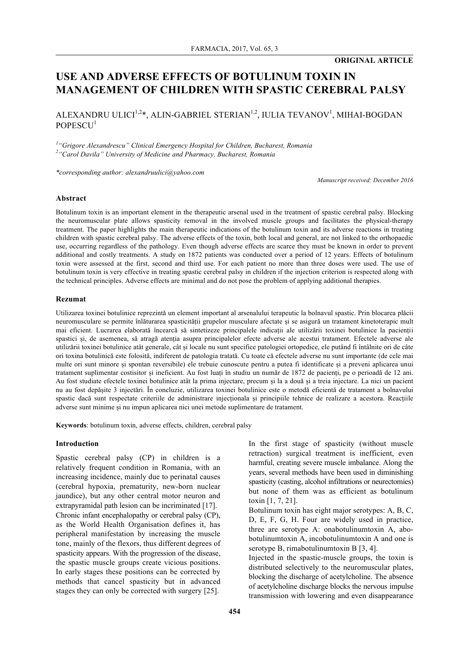## **ORIGINAL ARTICLE**

# **USE AND ADVERSE EFFECTS OF BOTULINUM TOXIN IN MANAGEMENT OF CHILDREN WITH SPASTIC CEREBRAL PALSY**

ALEXANDRU ULICI $^{1,2}$ \*, ALIN-GABRIEL STERIAN $^{1,2}$ , IULIA TEVANOV $^{1}$ , MIHAI-BOGDAN POPESCU<sup>1</sup>

*1 "Grigore Alexandrescu" Clinical Emergency Hospital for Children, Bucharest, Romania 2 "Carol Davila" University of Medicine and Pharmacy, Bucharest, Romania*

*\*corresponding author: alexandruulici@yahoo.com*

*Manuscript received: December 2016*

#### **Abstract**

Botulinum toxin is an important element in the therapeutic arsenal used in the treatment of spastic cerebral palsy. Blocking the neuromuscular plate allows spasticity removal in the involved muscle groups and facilitates the physical-therapy treatment. The paper highlights the main therapeutic indications of the botulinum toxin and its adverse reactions in treating children with spastic cerebral palsy. The adverse effects of the toxin, both local and general, are not linked to the orthopaedic use, occurring regardless of the pathology. Even though adverse effects are scarce they must be known in order to prevent additional and costly treatments. A study on 1872 patients was conducted over a period of 12 years. Effects of botulinum toxin were assessed at the first, second and third use. For each patient no more than three doses were used. The use of botulinum toxin is very effective in treating spastic cerebral palsy in children if the injection criterion is respected along with the technical principles. Adverse effects are minimal and do not pose the problem of applying additional therapies.

#### **Rezumat**

Utilizarea toxinei botulinice reprezintă un element important al arsenalului terapeutic la bolnavul spastic. Prin blocarea plăcii neuromusculare se permite înlăturarea spasticității grupelor musculare afectate și se asigură un tratament kinetoterapic mult mai eficient. Lucrarea elaborată încearcă să sintetizeze principalele indicații ale utilizării toxinei botulinice la pacienții spastici și, de asemenea, să atragă atenția asupra principalelor efecte adverse ale acestui tratament. Efectele adverse ale utilizării toxinei botulinice atât generale, cât și locale nu sunt specifice patologiei ortopedice, ele putând fi întâlnite ori de câte ori toxina botulinică este folosită, indiferent de patologia tratată. Cu toate că efectele adverse nu sunt importante (de cele mai multe ori sunt minore și spontan reversibile) ele trebuie cunoscute pentru a putea fi identificate și a preveni aplicarea unui tratament suplimentar costisitor și ineficient. Au fost luați în studiu un număr de 1872 de pacienți, pe o perioadă de 12 ani. Au fost studiate efectele toxinei botulinice atât la prima injectare, precum și la a două și a treia injectare. La nici un pacient nu au fost depășite 3 injectări. În concluzie, utilizarea toxinei botulinice este o metodă eficientă de tratament a bolnavului spastic dacă sunt respectate criteriile de administrare injecționala și principiile tehnice de realizare a acestora. Reacțiile adverse sunt minime și nu impun aplicarea nici unei metode suplimentare de tratament.

**Keywords**: botulinum toxin, adverse effects, children, cerebral palsy

### **Introduction**

Spastic cerebral palsy (CP) in children is a relatively frequent condition in Romania, with an increasing incidence, mainly due to perinatal causes (cerebral hypoxia, prematurity, new-born nuclear jaundice), but any other central motor neuron and extrapyramidal path lesion can be incriminated [17]. Chronic infant encephalopathy or cerebral palsy (CP), as the World Health Organisation defines it, has peripheral manifestation by increasing the muscle tone, mainly of the flexors, thus different degrees of spasticity appears. With the progression of the disease, the spastic muscle groups create vicious positions. In early stages these positions can be corrected by methods that cancel spasticity but in advanced stages they can only be corrected with surgery [25].

In the first stage of spasticity (without muscle retraction) surgical treatment is inefficient, even harmful, creating severe muscle imbalance. Along the years, several methods have been used in diminishing spasticity (casting, alcohol infiltrations or neurectomies) but none of them was as efficient as botulinum toxin [1, 7, 21].

Botulinum toxin has eight major serotypes: A, B, C, D, E, F, G, H. Four are widely used in practice, three are serotype A: onabotulinumtoxin A, abobotulinumtoxin A, incobotulinumtoxin A and one is serotype B, rimabotulinumtoxin B [3, 4].

Injected in the spastic-muscle groups, the toxin is distributed selectively to the neuromuscular plates, blocking the discharge of acetylcholine. The absence of acetylcholine discharge blocks the nervous impulse transmission with lowering and even disappearance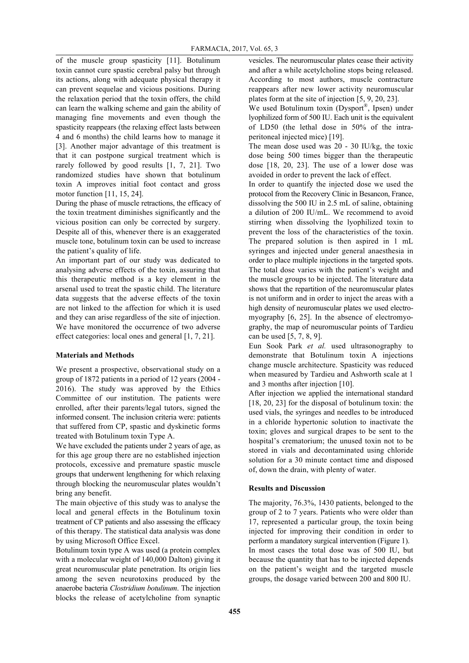of the muscle group spasticity [11]. Botulinum toxin cannot cure spastic cerebral palsy but through its actions, along with adequate physical therapy it can prevent sequelae and vicious positions. During the relaxation period that the toxin offers, the child can learn the walking scheme and gain the ability of managing fine movements and even though the spasticity reappears (the relaxing effect lasts between 4 and 6 months) the child learns how to manage it [3]. Another major advantage of this treatment is that it can postpone surgical treatment which is rarely followed by good results [1, 7, 21]. Two randomized studies have shown that botulinum toxin A improves initial foot contact and gross motor function [11, 15, 24].

During the phase of muscle retractions, the efficacy of the toxin treatment diminishes significantly and the vicious position can only be corrected by surgery. Despite all of this, whenever there is an exaggerated muscle tone, botulinum toxin can be used to increase the patient's quality of life.

An important part of our study was dedicated to analysing adverse effects of the toxin, assuring that this therapeutic method is a key element in the arsenal used to treat the spastic child. The literature data suggests that the adverse effects of the toxin are not linked to the affection for which it is used and they can arise regardless of the site of injection. We have monitored the occurrence of two adverse effect categories: local ones and general [1, 7, 21].

### **Materials and Methods**

We present a prospective, observational study on a group of 1872 patients in a period of 12 years (2004 - 2016). The study was approved by the Ethics Committee of our institution. The patients were enrolled, after their parents/legal tutors, signed the informed consent. The inclusion criteria were: patients that suffered from CP, spastic and dyskinetic forms treated with Botulinum toxin Type A.

We have excluded the patients under 2 years of age, as for this age group there are no established injection protocols, excessive and premature spastic muscle groups that underwent lengthening for which relaxing through blocking the neuromuscular plates wouldn't bring any benefit.

The main objective of this study was to analyse the local and general effects in the Botulinum toxin treatment of CP patients and also assessing the efficacy of this therapy. The statistical data analysis was done by using Microsoft Office Excel.

Botulinum toxin type A was used (a protein complex with a molecular weight of 140,000 Dalton) giving it great neuromuscular plate penetration. Its origin lies among the seven neurotoxins produced by the anaerobe bacteria *Clostridium botulinum*. The injection blocks the release of acetylcholine from synaptic

vesicles. The neuromuscular plates cease their activity and after a while acetylcholine stops being released. According to most authors, muscle contracture reappears after new lower activity neuromuscular plates form at the site of injection [5, 9, 20, 23].

We used Botulinum toxin (Dysport<sup>®</sup>, Ipsen) under lyophilized form of 500 IU. Each unit is the equivalent of LD50 (the lethal dose in 50% of the intraperitoneal injected mice) [19].

The mean dose used was 20 - 30 IU/kg, the toxic dose being 500 times bigger than the therapeutic dose [18, 20, 23]. The use of a lower dose was avoided in order to prevent the lack of effect.

In order to quantify the injected dose we used the protocol from the Recovery Clinic in Besancon, France, dissolving the 500 IU in 2.5 mL of saline, obtaining a dilution of 200 IU/mL. We recommend to avoid stirring when dissolving the lyophilized toxin to prevent the loss of the characteristics of the toxin. The prepared solution is then aspired in 1 mL syringes and injected under general anaesthesia in order to place multiple injections in the targeted spots. The total dose varies with the patient's weight and the muscle groups to be injected. The literature data shows that the repartition of the neuromuscular plates is not uniform and in order to inject the areas with a high density of neuromuscular plates we used electromyography [6, 25]. In the absence of electromyography, the map of neuromuscular points of Tardieu can be used [5, 7, 8, 9].

Eun Sook Park *et al.* used ultrasonography to demonstrate that Botulinum toxin A injections change muscle architecture. Spasticity was reduced when measured by Tardieu and Ashworth scale at 1 and 3 months after injection [10].

After injection we applied the international standard [18, 20, 23] for the disposal of botulinum toxin: the used vials, the syringes and needles to be introduced in a chloride hypertonic solution to inactivate the toxin; gloves and surgical drapes to be sent to the hospital's crematorium; the unused toxin not to be stored in vials and decontaminated using chloride solution for a 30 minute contact time and disposed of, down the drain, with plenty of water.

### **Results and Discussion**

The majority, 76.3%, 1430 patients, belonged to the group of 2 to 7 years. Patients who were older than 17, represented a particular group, the toxin being injected for improving their condition in order to perform a mandatory surgical intervention (Figure 1).

In most cases the total dose was of 500 IU, but because the quantity that has to be injected depends on the patient's weight and the targeted muscle groups, the dosage varied between 200 and 800 IU.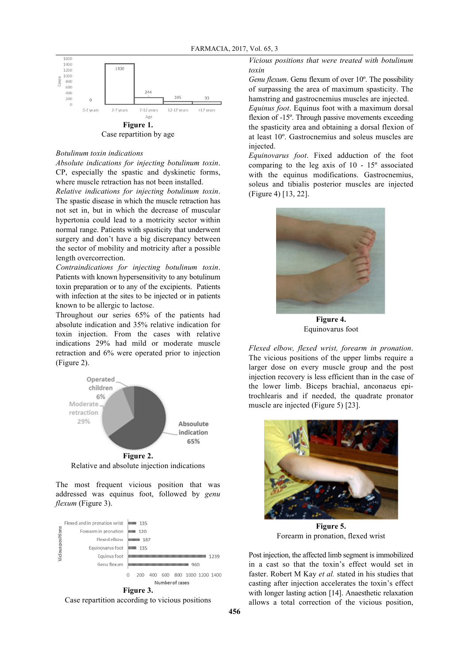

### *Botulinum toxin indications*

*Absolute indications for injecting botulinum toxin*. CP, especially the spastic and dyskinetic forms, where muscle retraction has not been installed.

*Relative indications for injecting botulinum toxin*. The spastic disease in which the muscle retraction has not set in, but in which the decrease of muscular hypertonia could lead to a motricity sector within normal range. Patients with spasticity that underwent surgery and don't have a big discrepancy between the sector of mobility and motricity after a possible length overcorrection.

*Contraindications for injecting botulinum toxin*. Patients with known hypersensitivity to any botulinum toxin preparation or to any of the excipients. Patients with infection at the sites to be injected or in patients known to be allergic to lactose.

Throughout our series 65% of the patients had absolute indication and 35% relative indication for toxin injection. From the cases with relative indications 29% had mild or moderate muscle retraction and 6% were operated prior to injection (Figure 2).



The most frequent vicious position that was addressed was equinus foot, followed by *genu flexum* (Figure 3).



Case repartition according to vicious positions

*Vicious positions that were treated with botulinum toxin*

*Genu flexum*. Genu flexum of over 10º. The possibility of surpassing the area of maximum spasticity. The hamstring and gastrocnemius muscles are injected.

*Equinus foot*. Equinus foot with a maximum dorsal flexion of -15°. Through passive movements exceeding the spasticity area and obtaining a dorsal flexion of at least 10º. Gastrocnemius and soleus muscles are injected.

*Equinovarus foot*. Fixed adduction of the foot comparing to the leg axis of 10 - 15º associated with the equinus modifications. Gastrocnemius, soleus and tibialis posterior muscles are injected (Figure 4) [13, 22].



Equinovarus foot

*Flexed elbow, flexed wrist, forearm in pronation*. The vicious positions of the upper limbs require a larger dose on every muscle group and the post injection recovery is less efficient than in the case of the lower limb. Biceps brachial, anconaeus epitrochlearis and if needed, the quadrate pronator muscle are injected (Figure 5) [23].



**Figure 5.** Forearm in pronation, flexed wrist

Post injection, the affected limb segment is immobilized in a cast so that the toxin's effect would set in faster. Robert M Kay *et al.* stated in his studies that casting after injection accelerates the toxin's effect with longer lasting action [14]. Anaesthetic relaxation allows a total correction of the vicious position,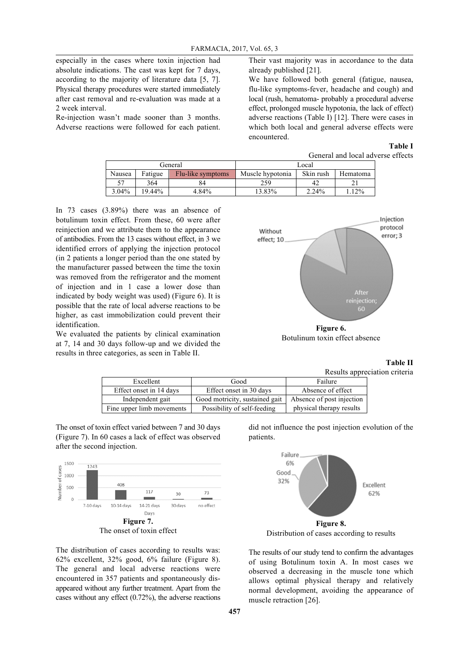especially in the cases where toxin injection had absolute indications. The cast was kept for 7 days, according to the majority of literature data [5, 7]. Physical therapy procedures were started immediately after cast removal and re-evaluation was made at a 2 week interval.

Re-injection wasn't made sooner than 3 months. Adverse reactions were followed for each patient. Their vast majority was in accordance to the data already published [21].

We have followed both general (fatigue, nausea, flu-like symptoms-fever, headache and cough) and local (rush, hematoma- probably a procedural adverse effect, prolonged muscle hypotonia, the lack of effect) adverse reactions (Table I) [12]. There were cases in which both local and general adverse effects were encountered.

### **Table I**

| General and local adverse effects |  |  |  |
|-----------------------------------|--|--|--|
|-----------------------------------|--|--|--|

| General  |         | Local             |                  |           |          |
|----------|---------|-------------------|------------------|-----------|----------|
| Nausea   | Fatigue | Flu-like symptoms | Muscle hypotonia | Skin rush | Hematoma |
|          | 364     | 84                | 259              | 42        |          |
| $3.04\%$ | 19.44%  | 4.84%             | 13.83%           | $2.24\%$  | 12%      |

In 73 cases (3.89%) there was an absence of botulinum toxin effect. From these, 60 were after reinjection and we attribute them to the appearance of antibodies. From the 13 cases without effect, in 3 we identified errors of applying the injection protocol (in 2 patients a longer period than the one stated by the manufacturer passed between the time the toxin was removed from the refrigerator and the moment of injection and in 1 case a lower dose than indicated by body weight was used) (Figure 6). It is possible that the rate of local adverse reactions to be higher, as cast immobilization could prevent their identification.

We evaluated the patients by clinical examination at 7, 14 and 30 days follow-up and we divided the results in three categories, as seen in Table II.



**Figure 6.** Botulinum toxin effect absence

**Table II**

Results appreciation criteria

| Excellent                 | Good                           | Failure                   |  |
|---------------------------|--------------------------------|---------------------------|--|
| Effect onset in 14 days   | Effect onset in 30 days        |                           |  |
| Independent gait          | Good motricity, sustained gait | Absence of post injection |  |
| Fine upper limb movements | Possibility of self-feeding    | physical therapy results  |  |

The onset of toxin effect varied between 7 and 30 days (Figure 7). In 60 cases a lack of effect was observed after the second injection.



The distribution of cases according to results was: 62% excellent, 32% good, 6% failure (Figure 8). The general and local adverse reactions were encountered in 357 patients and spontaneously disappeared without any further treatment. Apart from the cases without any effect (0.72%), the adverse reactions did not influence the post injection evolution of the patients.



Distribution of cases according to results

The results of our study tend to confirm the advantages of using Botulinum toxin A. In most cases we observed a decreasing in the muscle tone which allows optimal physical therapy and relatively normal development, avoiding the appearance of muscle retraction [26].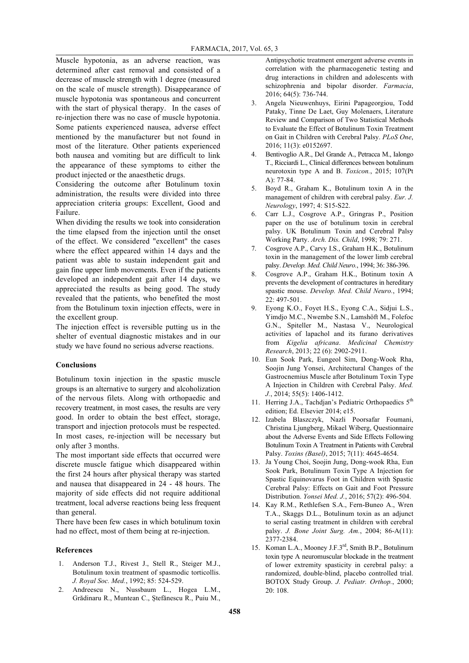Muscle hypotonia, as an adverse reaction, was determined after cast removal and consisted of a decrease of muscle strength with 1 degree (measured on the scale of muscle strength). Disappearance of muscle hypotonia was spontaneous and concurrent with the start of physical therapy. In the cases of re-injection there was no case of muscle hypotonia. Some patients experienced nausea, adverse effect mentioned by the manufacturer but not found in most of the literature. Other patients experienced both nausea and vomiting but are difficult to link the appearance of these symptoms to either the product injected or the anaesthetic drugs.

Considering the outcome after Botulinum toxin administration, the results were divided into three appreciation criteria groups: Excellent, Good and Failure.

When dividing the results we took into consideration the time elapsed from the injection until the onset of the effect. We considered "excellent" the cases where the effect appeared within 14 days and the patient was able to sustain independent gait and gain fine upper limb movements. Even if the patients developed an independent gait after 14 days, we appreciated the results as being good. The study revealed that the patients, who benefited the most from the Botulinum toxin injection effects, were in the excellent group.

The injection effect is reversible putting us in the shelter of eventual diagnostic mistakes and in our study we have found no serious adverse reactions.

### **Conclusions**

Botulinum toxin injection in the spastic muscle groups is an alternative to surgery and alcoholization of the nervous filets. Along with orthopaedic and recovery treatment, in most cases, the results are very good. In order to obtain the best effect, storage, transport and injection protocols must be respected. In most cases, re-injection will be necessary but only after 3 months.

The most important side effects that occurred were discrete muscle fatigue which disappeared within the first 24 hours after physical therapy was started and nausea that disappeared in 24 - 48 hours. The majority of side effects did not require additional treatment, local adverse reactions being less frequent than general.

There have been few cases in which botulinum toxin had no effect, most of them being at re-injection.

### **References**

- 1. Anderson T.J., Rivest J., Stell R., Steiger M.J., Botulinum toxin treatment of spasmodic torticollis. *J. Royal Soc. Med.*, 1992; 85: 524-529.
- 2. Andreescu N., Nussbaum L., Hogea L.M., Grădinaru R., Muntean C., Ștefănescu R., Puiu M.,

Antipsychotic treatment emergent adverse events in correlation with the pharmacogenetic testing and drug interactions in children and adolescents with schizophrenia and bipolar disorder. *Farmacia*, 2016; 64(5): 736-744.

- 3. Angela Nieuwenhuys, Eirini Papageorgiou, Todd Pataky, Tinne De Laet, Guy Molenaers, Literature Review and Comparison of Two Statistical Methods to Evaluate the Effect of Botulinum Toxin Treatment on Gait in Children with Cerebral Palsy. *PLoS One*, 2016; 11(3): e0152697.
- 4. Bentivoglio A.R., Del Grande A., Petracca M., Ialongo T., Ricciardi L., Clinical differences between botulinum neurotoxin type A and B. *Toxicon.*, 2015; 107(Pt A): 77-84.
- 5. Boyd R., Graham K., Botulinum toxin A in the management of children with cerebral palsy. *Eur. J. Neurology*, 1997; 4: S15-S22.
- 6. Carr L.J., Cosgrove A.P., Gringras P., Position paper on the use of botulinum toxin in cerebral palsy. UK Botulinum Toxin and Cerebral Palsy Working Party. *Arch. Dis. Child*, 1998; 79: 271.
- 7. Cosgrove A.P., Carvy I.S., Graham H.K., Botulinum toxin in the management of the lower limb cerebral palsy. *Develop. Med. Child Neuro.*, 1994; 36: 386-396.
- 8. Cosgrove A.P., Graham H.K., Botinum toxin A prevents the development of contractures in hereditary spastic mouse. *Develop. Med. Child Neuro.*, 1994; 22: 497-501.
- 9. Eyong K.O., Foyet H.S., Eyong C.A., Sidjui L.S., Yimdjo M.C., Nwembe S.N., Lamshöft M., Folefoc G.N., Spiteller M., Nastasa V., Neurological activities of lapachol and its furano derivatives from *Kigelia africana*. *Medicinal Chemistry Research*, 2013; 22 (6): 2902-2911.
- 10. Eun Sook Park, Eungeol Sim, Dong-Wook Rha, Soojin Jung Yonsei, Architectural Changes of the Gastrocnemius Muscle after Botulinum Toxin Type A Injection in Children with Cerebral Palsy. *Med. J.*, 2014; 55(5): 1406-1412.
- 11. Herring J.A., Tachdjan's Pediatric Orthopaedics 5<sup>th</sup> edition; Ed. Elsevier 2014; e15.
- 12. Izabela Blaszczyk, Nazli Poorsafar Foumani, Christina Ljungberg, Mikael Wiberg, Questionnaire about the Adverse Events and Side Effects Following Botulinum Toxin A Treatment in Patients with Cerebral Palsy. *Toxins (Basel)*, 2015; 7(11): 4645-4654.
- 13. Ja Young Choi, Soojin Jung, Dong-wook Rha, Eun Sook Park, Botulinum Toxin Type A Injection for Spastic Equinovarus Foot in Children with Spastic Cerebral Palsy: Effects on Gait and Foot Pressure Distribution. *Yonsei Med. J.*, 2016; 57(2): 496-504.
- 14. Kay R.M., Rethlefsen S.A., Fern-Buneo A., Wren T.A., Skaggs D.L., Botulinum toxin as an adjunct to serial casting treatment in children with cerebral palsy. *J. Bone Joint Surg. Am.*, 2004; 86-A(11): 2377-2384.
- 15. Koman L.A., Mooney J.F.3rd, Smith B.P., Botulinum toxin type A neuromuscular blockade in the treatment of lower extremity spasticity in cerebral palsy: a randomized, double-blind, placebo controlled trial. BOTOX Study Group. *J. Pediatr. Orthop.*, 2000; 20: 108.